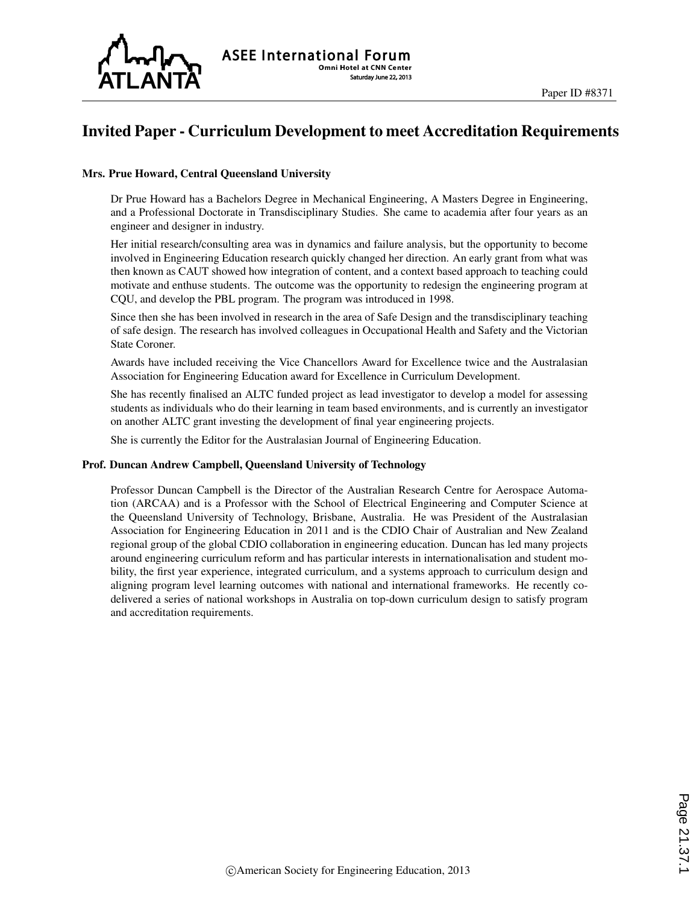

## Invited Paper - Curriculum Development to meet Accreditation Requirements

#### Mrs. Prue Howard, Central Queensland University

Dr Prue Howard has a Bachelors Degree in Mechanical Engineering, A Masters Degree in Engineering, and a Professional Doctorate in Transdisciplinary Studies. She came to academia after four years as an engineer and designer in industry.

Her initial research/consulting area was in dynamics and failure analysis, but the opportunity to become involved in Engineering Education research quickly changed her direction. An early grant from what was then known as CAUT showed how integration of content, and a context based approach to teaching could motivate and enthuse students. The outcome was the opportunity to redesign the engineering program at CQU, and develop the PBL program. The program was introduced in 1998.

Since then she has been involved in research in the area of Safe Design and the transdisciplinary teaching of safe design. The research has involved colleagues in Occupational Health and Safety and the Victorian State Coroner.

Awards have included receiving the Vice Chancellors Award for Excellence twice and the Australasian Association for Engineering Education award for Excellence in Curriculum Development.

She has recently finalised an ALTC funded project as lead investigator to develop a model for assessing students as individuals who do their learning in team based environments, and is currently an investigator on another ALTC grant investing the development of final year engineering projects.

She is currently the Editor for the Australasian Journal of Engineering Education.

#### Prof. Duncan Andrew Campbell, Queensland University of Technology

Professor Duncan Campbell is the Director of the Australian Research Centre for Aerospace Automation (ARCAA) and is a Professor with the School of Electrical Engineering and Computer Science at the Queensland University of Technology, Brisbane, Australia. He was President of the Australasian Association for Engineering Education in 2011 and is the CDIO Chair of Australian and New Zealand regional group of the global CDIO collaboration in engineering education. Duncan has led many projects around engineering curriculum reform and has particular interests in internationalisation and student mobility, the first year experience, integrated curriculum, and a systems approach to curriculum design and aligning program level learning outcomes with national and international frameworks. He recently codelivered a series of national workshops in Australia on top-down curriculum design to satisfy program and accreditation requirements.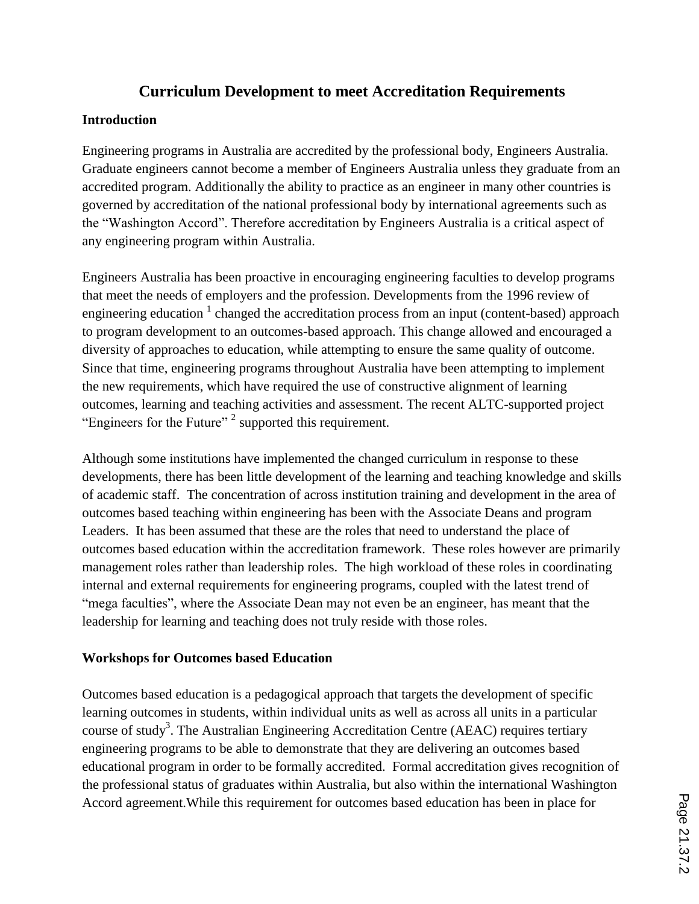## **Curriculum Development to meet Accreditation Requirements**

## **Introduction**

Engineering programs in Australia are accredited by the professional body, Engineers Australia. Graduate engineers cannot become a member of Engineers Australia unless they graduate from an accredited program. Additionally the ability to practice as an engineer in many other countries is governed by accreditation of the national professional body by international agreements such as the "Washington Accord". Therefore accreditation by Engineers Australia is a critical aspect of any engineering program within Australia.

Engineers Australia has been proactive in encouraging engineering faculties to develop programs that meet the needs of employers and the profession. Developments from the 1996 review of engineering education  $\frac{1}{1}$  changed the accreditation process from an input (content-based) approach to program development to an outcomes-based approach. This change allowed and encouraged a diversity of approaches to education, while attempting to ensure the same quality of outcome. Since that time, engineering programs throughout Australia have been attempting to implement the new requirements, which have required the use of constructive alignment of learning outcomes, learning and teaching activities and assessment. The recent ALTC-supported project "Engineers for the Future"<sup>2</sup> supported this requirement.

Although some institutions have implemented the changed curriculum in response to these developments, there has been little development of the learning and teaching knowledge and skills of academic staff. The concentration of across institution training and development in the area of outcomes based teaching within engineering has been with the Associate Deans and program Leaders. It has been assumed that these are the roles that need to understand the place of outcomes based education within the accreditation framework. These roles however are primarily management roles rather than leadership roles. The high workload of these roles in coordinating internal and external requirements for engineering programs, coupled with the latest trend of "mega faculties", where the Associate Dean may not even be an engineer, has meant that the leadership for learning and teaching does not truly reside with those roles.

## **Workshops for Outcomes based Education**

Outcomes based education is a pedagogical approach that targets the development of specific learning outcomes in students, within individual units as well as across all units in a particular course of study<sup>3</sup>. The Australian Engineering Accreditation Centre (AEAC) requires tertiary engineering programs to be able to demonstrate that they are delivering an outcomes based educational program in order to be formally accredited. Formal accreditation gives recognition of the professional status of graduates within Australia, but also within the international Washington Accord agreement.While this requirement for outcomes based education has been in place for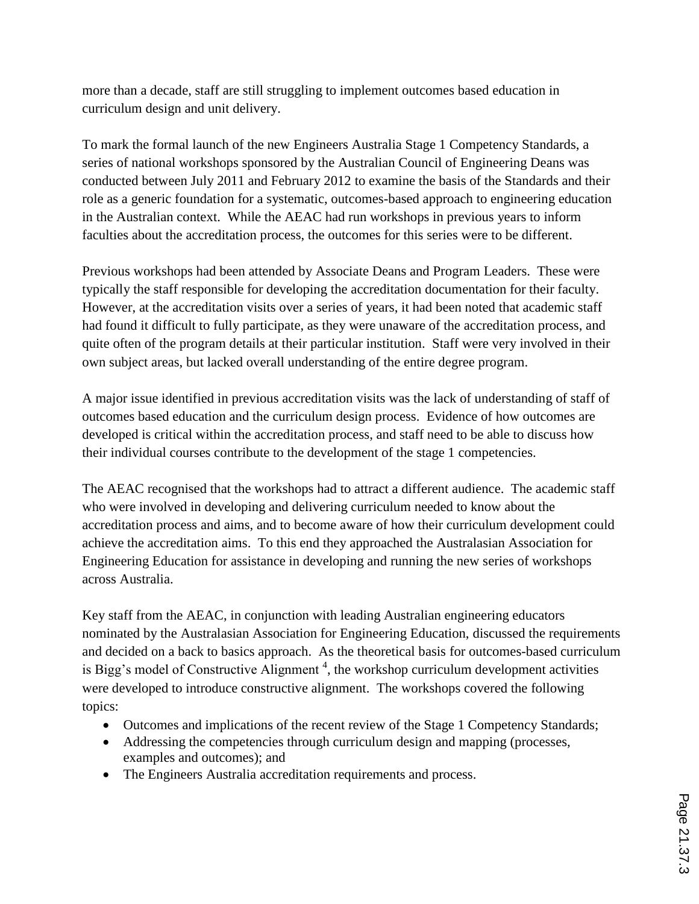more than a decade, staff are still struggling to implement outcomes based education in curriculum design and unit delivery.

To mark the formal launch of the new Engineers Australia Stage 1 Competency Standards, a series of national workshops sponsored by the Australian Council of Engineering Deans was conducted between July 2011 and February 2012 to examine the basis of the Standards and their role as a generic foundation for a systematic, outcomes-based approach to engineering education in the Australian context. While the AEAC had run workshops in previous years to inform faculties about the accreditation process, the outcomes for this series were to be different.

Previous workshops had been attended by Associate Deans and Program Leaders. These were typically the staff responsible for developing the accreditation documentation for their faculty. However, at the accreditation visits over a series of years, it had been noted that academic staff had found it difficult to fully participate, as they were unaware of the accreditation process, and quite often of the program details at their particular institution. Staff were very involved in their own subject areas, but lacked overall understanding of the entire degree program.

A major issue identified in previous accreditation visits was the lack of understanding of staff of outcomes based education and the curriculum design process. Evidence of how outcomes are developed is critical within the accreditation process, and staff need to be able to discuss how their individual courses contribute to the development of the stage 1 competencies.

The AEAC recognised that the workshops had to attract a different audience. The academic staff who were involved in developing and delivering curriculum needed to know about the accreditation process and aims, and to become aware of how their curriculum development could achieve the accreditation aims. To this end they approached the Australasian Association for Engineering Education for assistance in developing and running the new series of workshops across Australia.

Key staff from the AEAC, in conjunction with leading Australian engineering educators nominated by the Australasian Association for Engineering Education, discussed the requirements and decided on a back to basics approach. As the theoretical basis for outcomes-based curriculum is Bigg's model of Constructive Alignment<sup>4</sup>, the workshop curriculum development activities were developed to introduce constructive alignment. The workshops covered the following topics:

- Outcomes and implications of the recent review of the Stage 1 Competency Standards;
- Addressing the competencies through curriculum design and mapping (processes, examples and outcomes); and
- The Engineers Australia accreditation requirements and process.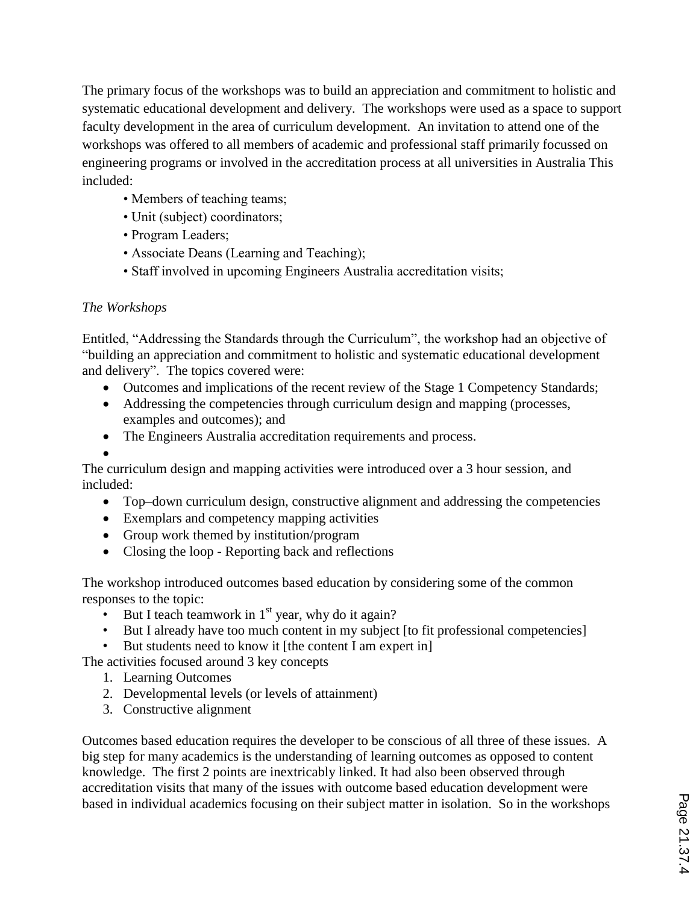The primary focus of the workshops was to build an appreciation and commitment to holistic and systematic educational development and delivery. The workshops were used as a space to support faculty development in the area of curriculum development. An invitation to attend one of the workshops was offered to all members of academic and professional staff primarily focussed on engineering programs or involved in the accreditation process at all universities in Australia This included:

- Members of teaching teams;
- Unit (subject) coordinators;
- Program Leaders;
- Associate Deans (Learning and Teaching);
- Staff involved in upcoming Engineers Australia accreditation visits;

# *The Workshops*

Entitled, "Addressing the Standards through the Curriculum", the workshop had an objective of "building an appreciation and commitment to holistic and systematic educational development and delivery". The topics covered were:

- Outcomes and implications of the recent review of the Stage 1 Competency Standards;
- Addressing the competencies through curriculum design and mapping (processes, examples and outcomes); and
- The Engineers Australia accreditation requirements and process.
- $\bullet$

The curriculum design and mapping activities were introduced over a 3 hour session, and included:

- Top–down curriculum design, constructive alignment and addressing the competencies
- Exemplars and competency mapping activities
- Group work themed by institution/program
- Closing the loop Reporting back and reflections

The workshop introduced outcomes based education by considering some of the common responses to the topic:

- But I teach teamwork in  $1<sup>st</sup>$  year, why do it again?
- But I already have too much content in my subject [to fit professional competencies]
- But students need to know it [the content I am expert in]

The activities focused around 3 key concepts

- 1. Learning Outcomes
- 2. Developmental levels (or levels of attainment)
- 3. Constructive alignment

Outcomes based education requires the developer to be conscious of all three of these issues. A big step for many academics is the understanding of learning outcomes as opposed to content knowledge. The first 2 points are inextricably linked. It had also been observed through accreditation visits that many of the issues with outcome based education development were based in individual academics focusing on their subject matter in isolation. So in the workshops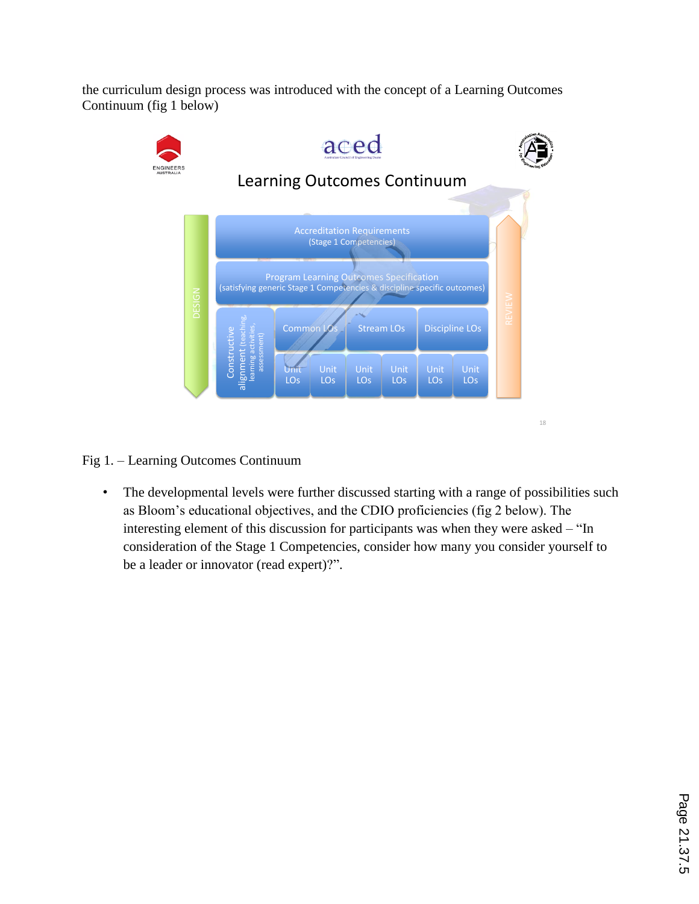the curriculum design process was introduced with the concept of a Learning Outcomes Continuum (fig 1 below)



Fig 1. – Learning Outcomes Continuum

• The developmental levels were further discussed starting with a range of possibilities such as Bloom's educational objectives, and the CDIO proficiencies (fig 2 below). The interesting element of this discussion for participants was when they were asked – "In consideration of the Stage 1 Competencies, consider how many you consider yourself to be a leader or innovator (read expert)?".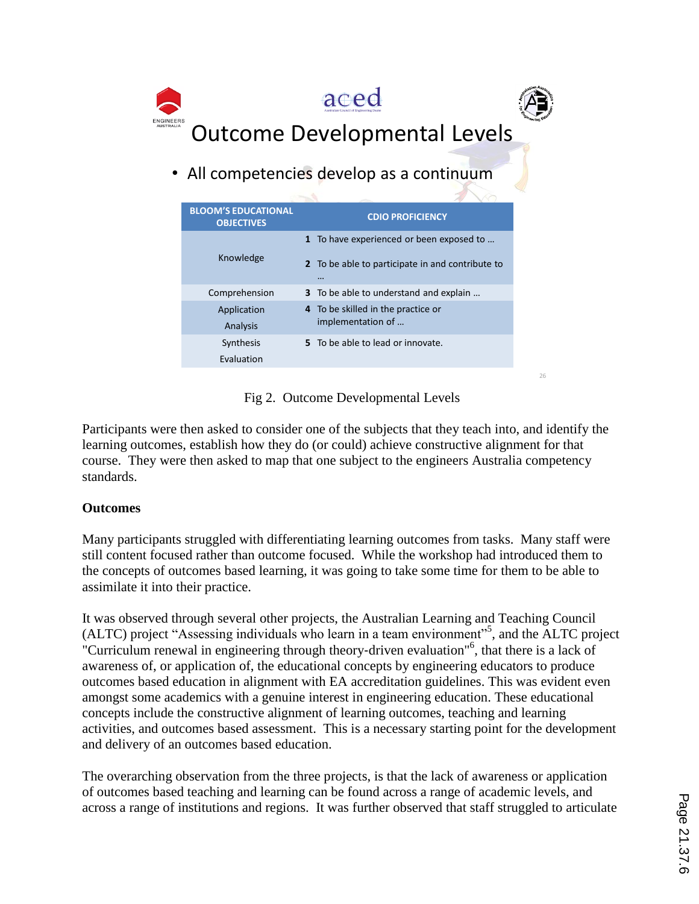

• All competencies develop as a continuum

| <b>BLOOM'S EDUCATIONAL</b><br><b>OBJECTIVES</b> | <b>CDIO PROFICIENCY</b>                                                                                  |
|-------------------------------------------------|----------------------------------------------------------------------------------------------------------|
| Knowledge                                       | 1 To have experienced or been exposed to<br>2 To be able to participate in and contribute to<br>$\cdots$ |
| Comprehension                                   | 3 To be able to understand and explain                                                                   |
| Application<br>Analysis                         | 4 To be skilled in the practice or<br>implementation of                                                  |
| Synthesis<br>Evaluation                         | 5 To be able to lead or innovate.                                                                        |

Fig 2. Outcome Developmental Levels

26

Participants were then asked to consider one of the subjects that they teach into, and identify the learning outcomes, establish how they do (or could) achieve constructive alignment for that course. They were then asked to map that one subject to the engineers Australia competency standards.

## **Outcomes**

Many participants struggled with differentiating learning outcomes from tasks. Many staff were still content focused rather than outcome focused. While the workshop had introduced them to the concepts of outcomes based learning, it was going to take some time for them to be able to assimilate it into their practice.

It was observed through several other projects, the Australian Learning and Teaching Council (ALTC) project "Assessing individuals who learn in a team environment"<sup>5</sup> , and the ALTC project "Curriculum renewal in engineering through theory-driven evaluation"<sup>6</sup>, that there is a lack of awareness of, or application of, the educational concepts by engineering educators to produce outcomes based education in alignment with EA accreditation guidelines. This was evident even amongst some academics with a genuine interest in engineering education. These educational concepts include the constructive alignment of learning outcomes, teaching and learning activities, and outcomes based assessment. This is a necessary starting point for the development and delivery of an outcomes based education.

The overarching observation from the three projects, is that the lack of awareness or application of outcomes based teaching and learning can be found across a range of academic levels, and across a range of institutions and regions. It was further observed that staff struggled to articulate